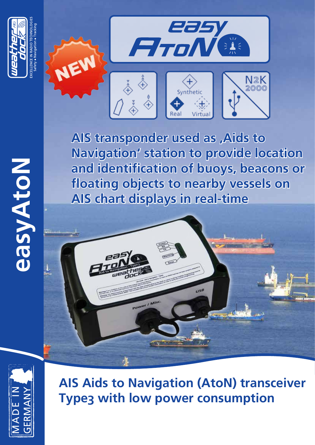



AIS transponder used as , Aids to **Navigation' station to provide location and identification of buoys, beacons or floating objects to nearby vessels on AIS chart displays in real-time** 





**AIS Aids to Navigation (AtoN) transceiver Type3 with low power consumption**